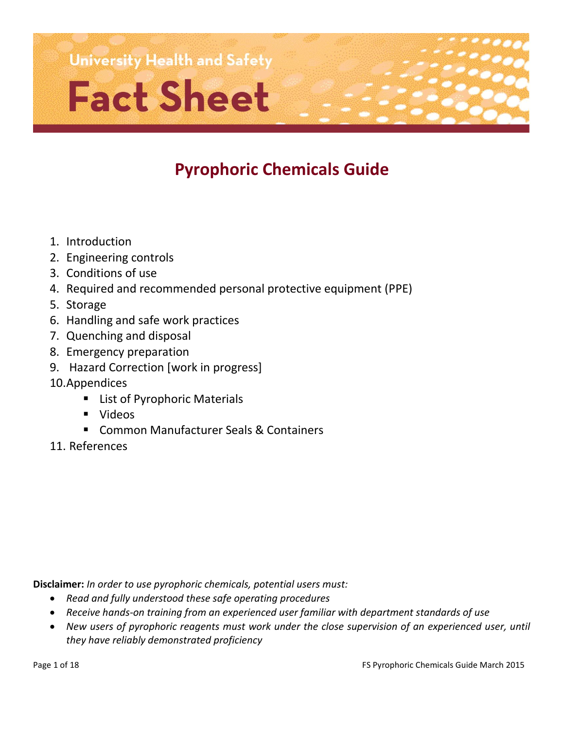

# **Pyrophoric Chemicals Guide**

- 1. Introduction
- 2. Engineering controls
- 3. Conditions of use
- 4. Required and recommended personal protective equipment (PPE)
- 5. Storage
- 6. Handling and safe work practices
- 7. Quenching and disposal
- 8. Emergency preparation
- 9. Hazard Correction [work in progress]
- 10.Appendices
	- **E** List of Pyrophoric Materials
	- Videos
	- **E.** Common Manufacturer Seals & Containers
- 11. References

**Disclaimer:** *In order to use pyrophoric chemicals, potential users must:*

- *Read and fully understood these safe operating procedures*
- *Receive hands-on training from an experienced user familiar with department standards of use*
- New users of pyrophoric reagents must work under the close supervision of an experienced user, until *they have reliably demonstrated proficiency*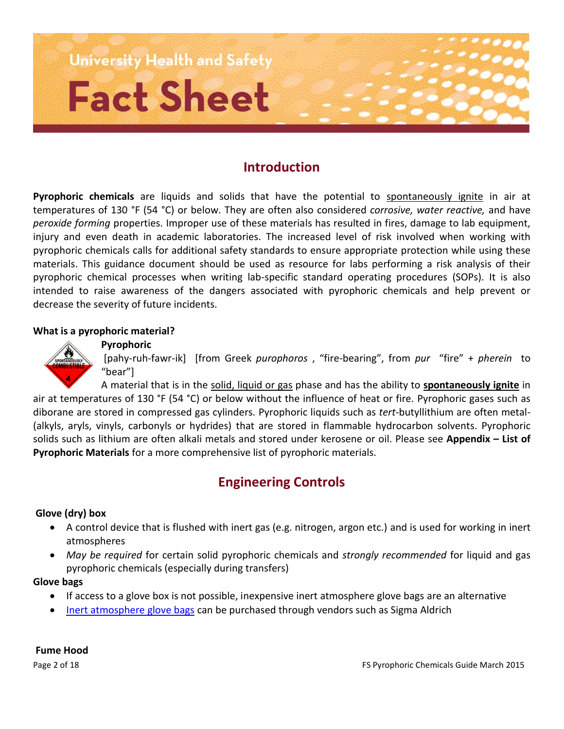

# **Introduction**

Pyrophoric chemicals are liquids and solids that have the potential to spontaneously ignite in air at temperatures of 130 °F (54 °C) or below. They are often also considered *corrosive, water reactive,* and have *peroxide forming* properties. Improper use of these materials has resulted in fires, damage to lab equipment, injury and even death in academic laboratories. The increased level of risk involved when working with pyrophoric chemicals calls for additional safety standards to ensure appropriate protection while using these materials. This guidance document should be used as resource for labs performing a risk analysis of their pyrophoric chemical processes when writing lab-specific standard operating procedures (SOPs). It is also intended to raise awareness of the dangers associated with pyrophoric chemicals and help prevent or decrease the severity of future incidents.

#### **What is a pyrophoric material?**



[pahy-ruh-fawr-ik] [from Greek *purophoros* , "fire-bearing", from *pur* "fire" + *pherein* to "bear"]

A material that is in the solid, liquid or gas phase and has the ability to **spontaneously ignite** in air at temperatures of 130 °F (54 °C) or below without the influence of heat or fire. Pyrophoric gases such as diborane are stored in compressed gas cylinders. Pyrophoric liquids such as *tert*-butyllithium are often metal- (alkyls, aryls, vinyls, carbonyls or hydrides) that are stored in flammable hydrocarbon solvents. Pyrophoric solids such as lithium are often alkali metals and stored under kerosene or oil. Please see **Appendix – List of Pyrophoric Materials** for a more comprehensive list of pyrophoric materials.

# **Engineering Controls**

#### **Glove (dry) box**

- A control device that is flushed with inert gas (e.g. nitrogen, argon etc.) and is used for working in inert atmospheres
- *May be required* for certain solid pyrophoric chemicals and *strongly recommended* for liquid and gas pyrophoric chemicals (especially during transfers)

#### **Glove bags**

- If access to a glove box is not possible, inexpensive inert atmosphere glove bags are an alternative
- [Inert atmosphere glove bags](http://www.sigmaaldrich.com/labware/products/aldrich-atmosbag.html) can be purchased through vendors such as Sigma Aldrich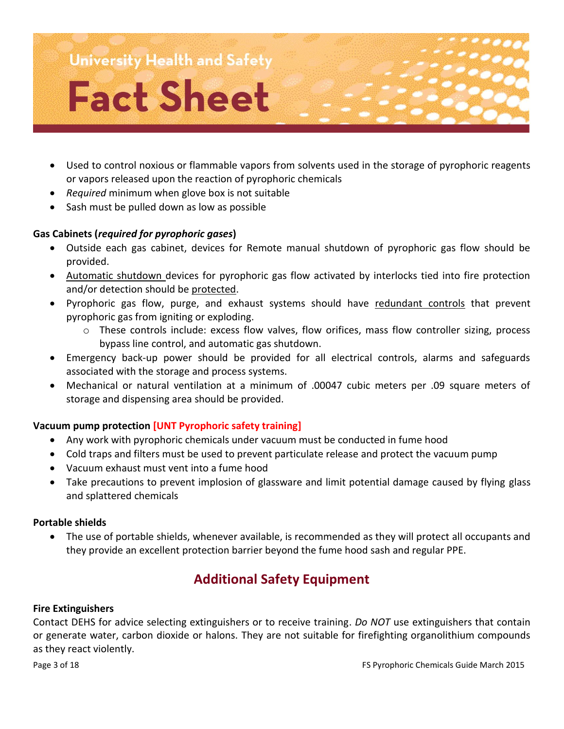

- Used to control noxious or flammable vapors from solvents used in the storage of pyrophoric reagents or vapors released upon the reaction of pyrophoric chemicals
- *Required* minimum when glove box is not suitable
- Sash must be pulled down as low as possible

#### **Gas Cabinets (***required for pyrophoric gases***)**

- Outside each gas cabinet, devices for Remote manual shutdown of pyrophoric gas flow should be provided.
- Automatic shutdown devices for pyrophoric gas flow activated by interlocks tied into fire protection and/or detection should be protected.
- Pyrophoric gas flow, purge, and exhaust systems should have redundant controls that prevent pyrophoric gas from igniting or exploding.
	- $\circ$  These controls include: excess flow valves, flow orifices, mass flow controller sizing, process bypass line control, and automatic gas shutdown.
- Emergency back-up power should be provided for all electrical controls, alarms and safeguards associated with the storage and process systems.
- Mechanical or natural ventilation at a minimum of .00047 cubic meters per .09 square meters of storage and dispensing area should be provided.

#### **Vacuum pump protection [UNT Pyrophoric safety training]**

- Any work with pyrophoric chemicals under vacuum must be conducted in fume hood
- Cold traps and filters must be used to prevent particulate release and protect the vacuum pump
- Vacuum exhaust must vent into a fume hood
- Take precautions to prevent implosion of glassware and limit potential damage caused by flying glass and splattered chemicals

#### **Portable shields**

 The use of portable shields, whenever available, is recommended as they will protect all occupants and they provide an excellent protection barrier beyond the fume hood sash and regular PPE.

# **Additional Safety Equipment**

#### **Fire Extinguishers**

Contact DEHS for advice selecting extinguishers or to receive training. *Do NOT* use extinguishers that contain or generate water, carbon dioxide or halons. They are not suitable for firefighting organolithium compounds as they react violently.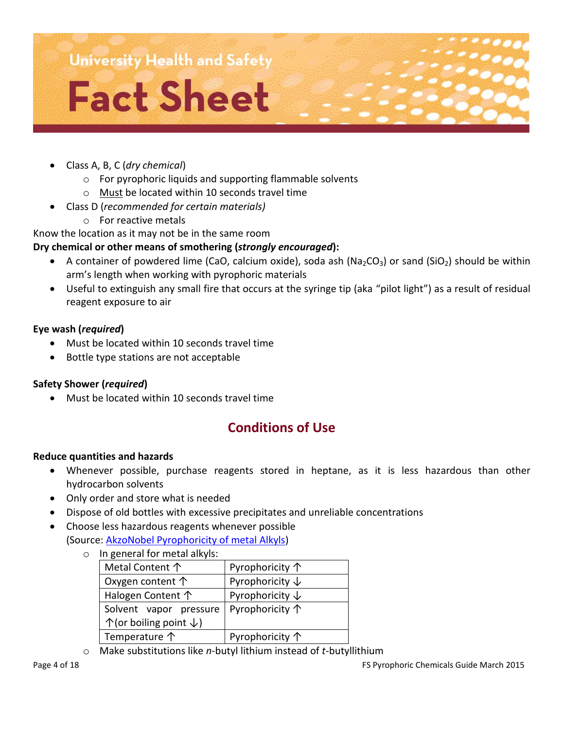

- Class A, B, C (*dry chemical*)
	- o For pyrophoric liquids and supporting flammable solvents
	- o Must be located within 10 seconds travel time
- Class D (*recommended for certain materials)*
	- o For reactive metals

Know the location as it may not be in the same room

#### **Dry chemical or other means of smothering (***strongly encouraged***):**

- A container of powdered lime (CaO, calcium oxide), soda ash (Na<sub>2</sub>CO<sub>3</sub>) or sand (SiO<sub>2</sub>) should be within arm's length when working with pyrophoric materials
- Useful to extinguish any small fire that occurs at the syringe tip (aka "pilot light") as a result of residual reagent exposure to air

#### **Eye wash (***required***)**

- Must be located within 10 seconds travel time
- Bottle type stations are not acceptable

#### **Safety Shower (***required***)**

Must be located within 10 seconds travel time

# **Conditions of Use**

#### **Reduce quantities and hazards**

- Whenever possible, purchase reagents stored in heptane, as it is less hazardous than other hydrocarbon solvents
- Only order and store what is needed
- Dispose of old bottles with excessive precipitates and unreliable concentrations
- Choose less hazardous reagents whenever possible (Source: [AkzoNobel Pyrophoricity of metal Alkyls\)](http://www.akzonobel.com/hpmo/system/images/AkzoNobel_Pyrophoricity_of_Metal_Alkyls_ma_glo_eng_tb_tcm36-16299.pdf)
	- o In general for metal alkyls:

| Metal Content 个                             | Pyrophoricity $\uparrow$   |
|---------------------------------------------|----------------------------|
| Oxygen content $\uparrow$                   | Pyrophoricity $\downarrow$ |
| Halogen Content 个                           | Pyrophoricity $\downarrow$ |
| Solvent vapor pressure                      | Pyrophoricity $\uparrow$   |
| $\uparrow$ (or boiling point $\downarrow$ ) |                            |
| Temperature $\uparrow$                      | Pyrophoricity 个            |

o Make substitutions like *n*-butyl lithium instead of *t*-butyllithium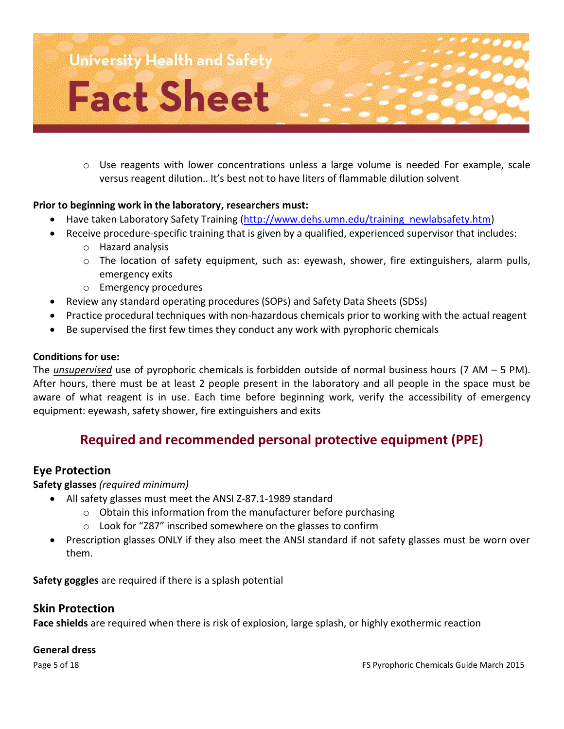

o Use reagents with lower concentrations unless a large volume is needed For example, scale versus reagent dilution.. It's best not to have liters of flammable dilution solvent

#### **Prior to beginning work in the laboratory, researchers must:**

- Have taken Laboratory Safety Training [\(http://www.dehs.umn.edu/training\\_newlabsafety.htm\)](http://www.dehs.umn.edu/training_newlabsafety.htm)
- Receive procedure-specific training that is given by a qualified, experienced supervisor that includes:
	- o Hazard analysis
	- $\circ$  The location of safety equipment, such as: eyewash, shower, fire extinguishers, alarm pulls, emergency exits
	- o Emergency procedures
- Review any standard operating procedures (SOPs) and Safety Data Sheets (SDSs)
- Practice procedural techniques with non-hazardous chemicals prior to working with the actual reagent
- Be supervised the first few times they conduct any work with pyrophoric chemicals

#### **Conditions for use:**

The *unsupervised* use of pyrophoric chemicals is forbidden outside of normal business hours (7 AM – 5 PM). After hours, there must be at least 2 people present in the laboratory and all people in the space must be aware of what reagent is in use. Each time before beginning work, verify the accessibility of emergency equipment: eyewash, safety shower, fire extinguishers and exits

# **Required and recommended personal protective equipment (PPE)**

#### **Eye Protection**

**Safety glasses** *(required minimum)*

- All safety glasses must meet the ANSI Z-87.1-1989 standard
	- o Obtain this information from the manufacturer before purchasing
	- o Look for "Z87" inscribed somewhere on the glasses to confirm
	- Prescription glasses ONLY if they also meet the ANSI standard if not safety glasses must be worn over them.

**Safety goggles** are required if there is a splash potential

#### **Skin Protection**

**Face shields** are required when there is risk of explosion, large splash, or highly exothermic reaction

#### **General dress**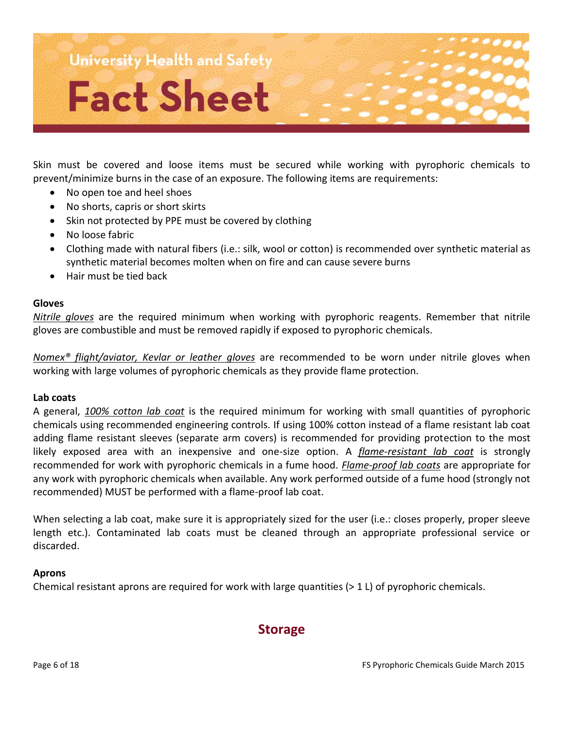

Skin must be covered and loose items must be secured while working with pyrophoric chemicals to prevent/minimize burns in the case of an exposure. The following items are requirements:

- No open toe and heel shoes
- No shorts, capris or short skirts
- Skin not protected by PPE must be covered by clothing
- No loose fabric
- Clothing made with natural fibers (i.e.: silk, wool or cotton) is recommended over synthetic material as synthetic material becomes molten when on fire and can cause severe burns
- Hair must be tied back

#### **Gloves**

*Nitrile gloves* are the required minimum when working with pyrophoric reagents. Remember that nitrile gloves are combustible and must be removed rapidly if exposed to pyrophoric chemicals.

*Nomex® flight/aviator, Kevlar or leather gloves* are recommended to be worn under nitrile gloves when working with large volumes of pyrophoric chemicals as they provide flame protection*.*

#### **Lab coats**

A general, *100% cotton lab coat* is the required minimum for working with small quantities of pyrophoric chemicals using recommended engineering controls. If using 100% cotton instead of a flame resistant lab coat adding flame resistant sleeves (separate arm covers) is recommended for providing protection to the most likely exposed area with an inexpensive and one-size option. A *flame-resistant lab coat* is strongly recommended for work with pyrophoric chemicals in a fume hood. *Flame-proof lab coats* are appropriate for any work with pyrophoric chemicals when available. Any work performed outside of a fume hood (strongly not recommended) MUST be performed with a flame-proof lab coat.

When selecting a lab coat, make sure it is appropriately sized for the user (i.e.: closes properly, proper sleeve length etc.). Contaminated lab coats must be cleaned through an appropriate professional service or discarded.

#### **Aprons**

Chemical resistant aprons are required for work with large quantities (> 1 L) of pyrophoric chemicals.

# **Storage**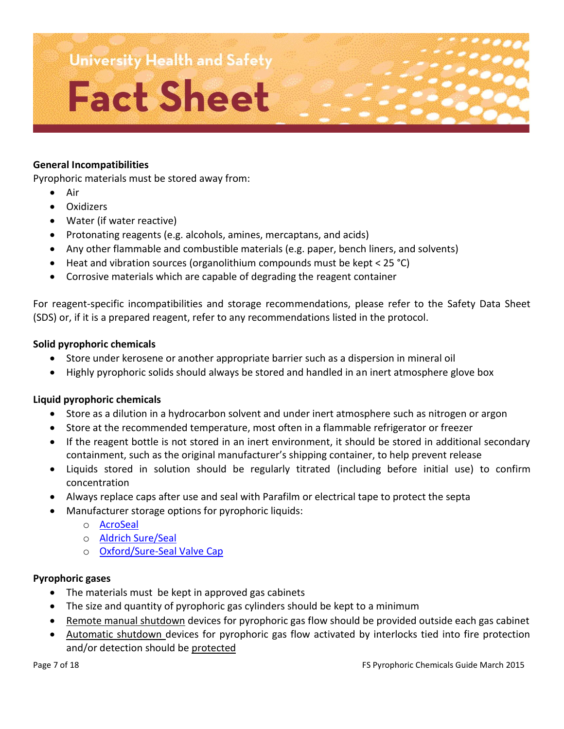#### **General Incompatibilities**

Pyrophoric materials must be stored away from:

- Air
- **Oxidizers**
- Water (if water reactive)
- Protonating reagents (e.g. alcohols, amines, mercaptans, and acids)
- Any other flammable and combustible materials (e.g. paper, bench liners, and solvents)
- Heat and vibration sources (organolithium compounds must be kept < 25 °C)
- Corrosive materials which are capable of degrading the reagent container

For reagent-specific incompatibilities and storage recommendations, please refer to the Safety Data Sheet (SDS) or, if it is a prepared reagent, refer to any recommendations listed in the protocol.

#### **Solid pyrophoric chemicals**

- Store under kerosene or another appropriate barrier such as a dispersion in mineral oil
- Highly pyrophoric solids should always be stored and handled in an inert atmosphere glove box

#### **Liquid pyrophoric chemicals**

- Store as a dilution in a hydrocarbon solvent and under inert atmosphere such as nitrogen or argon
- Store at the recommended temperature, most often in a flammable refrigerator or freezer
- If the reagent bottle is not stored in an inert environment, it should be stored in additional secondary containment, such as the original manufacturer's shipping container, to help prevent release
- Liquids stored in solution should be regularly titrated (including before initial use) to confirm concentration
- Always replace caps after use and seal with Parafilm or electrical tape to protect the septa
- Manufacturer storage options for pyrophoric liquids:
	- o [AcroSeal](http://static.fishersci.com/cmsassets/downloads/segment/Scientific/pdf/Literature/AcroSeal_brochure_2013_US_final.pdf)
	- o [Aldrich Sure/Seal](http://www.sigmaaldrich.com/chemistry/solvents/sureseal.html)
	- o [Oxford/Sure-Seal Valve Cap](http://www.sigmaaldrich.com/content/dam/sigma-aldrich/docs/Aldrich/Bulletin/al_techbull__al195.pdf)

#### **Pyrophoric gases**

- The materials must be kept in approved gas cabinets
- The size and quantity of pyrophoric gas cylinders should be kept to a minimum
- Remote manual shutdown devices for pyrophoric gas flow should be provided outside each gas cabinet
- Automatic shutdown devices for pyrophoric gas flow activated by interlocks tied into fire protection and/or detection should be protected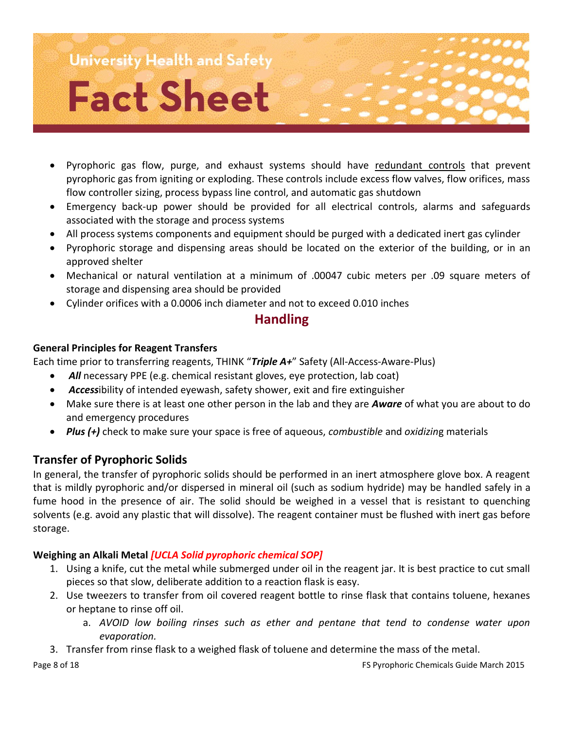- Pyrophoric gas flow, purge, and exhaust systems should have redundant controls that prevent pyrophoric gas from igniting or exploding. These controls include excess flow valves, flow orifices, mass flow controller sizing, process bypass line control, and automatic gas shutdown
- Emergency back-up power should be provided for all electrical controls, alarms and safeguards associated with the storage and process systems
- All process systems components and equipment should be purged with a dedicated inert gas cylinder
- Pyrophoric storage and dispensing areas should be located on the exterior of the building, or in an approved shelter
- Mechanical or natural ventilation at a minimum of .00047 cubic meters per .09 square meters of storage and dispensing area should be provided
- Cylinder orifices with a 0.0006 inch diameter and not to exceed 0.010 inches

# **Handling**

#### **General Principles for Reagent Transfers**

Each time prior to transferring reagents, THINK "*Triple A+*" Safety (All-Access-Aware-Plus)

- *All* necessary PPE (e.g. chemical resistant gloves, eye protection, lab coat)
- *Access*ibility of intended eyewash, safety shower, exit and fire extinguisher
- Make sure there is at least one other person in the lab and they are *Aware* of what you are about to do and emergency procedures
- *Plus (+)* check to make sure your space is free of aqueous, *combustible* and *oxidizin*g materials

# **Transfer of Pyrophoric Solids**

In general, the transfer of pyrophoric solids should be performed in an inert atmosphere glove box. A reagent that is mildly pyrophoric and/or dispersed in mineral oil (such as sodium hydride) may be handled safely in a fume hood in the presence of air. The solid should be weighed in a vessel that is resistant to quenching solvents (e.g. avoid any plastic that will dissolve). The reagent container must be flushed with inert gas before storage.

# **Weighing an Alkali Metal** *[UCLA Solid pyrophoric chemical SOP]*

- 1. Using a knife, cut the metal while submerged under oil in the reagent jar. It is best practice to cut small pieces so that slow, deliberate addition to a reaction flask is easy.
- 2. Use tweezers to transfer from oil covered reagent bottle to rinse flask that contains toluene, hexanes or heptane to rinse off oil.
	- a. *AVOID low boiling rinses such as ether and pentane that tend to condense water upon evaporation.*
- 3. Transfer from rinse flask to a weighed flask of toluene and determine the mass of the metal.

Page 8 of 18 FS Pyrophoric Chemicals Guide March 2015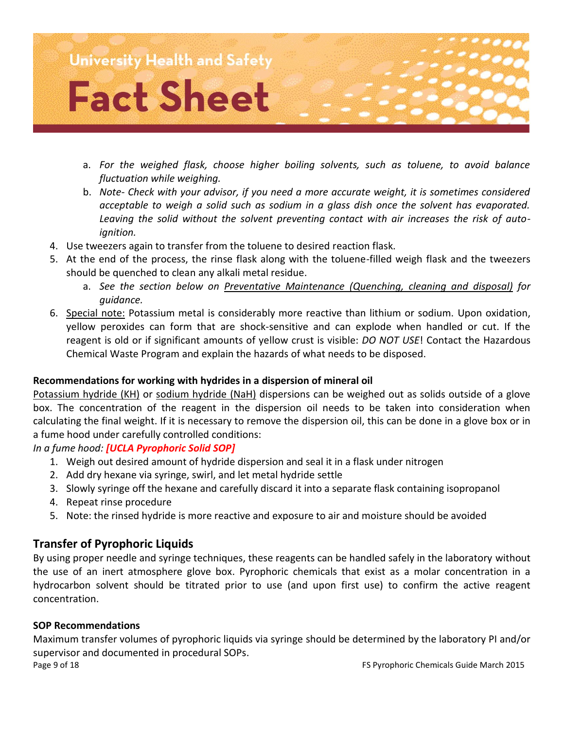

- a. *For the weighed flask, choose higher boiling solvents, such as toluene, to avoid balance fluctuation while weighing.*
- b. *Note- Check with your advisor, if you need a more accurate weight, it is sometimes considered acceptable to weigh a solid such as sodium in a glass dish once the solvent has evaporated. Leaving the solid without the solvent preventing contact with air increases the risk of autoignition.*
- 4. Use tweezers again to transfer from the toluene to desired reaction flask.
- 5. At the end of the process, the rinse flask along with the toluene-filled weigh flask and the tweezers should be quenched to clean any alkali metal residue.
	- a. *See the section below on Preventative Maintenance (Quenching, cleaning and disposal) for guidance.*
- 6. Special note: Potassium metal is considerably more reactive than lithium or sodium. Upon oxidation, yellow peroxides can form that are shock-sensitive and can explode when handled or cut. If the reagent is old or if significant amounts of yellow crust is visible: *DO NOT USE*! Contact the Hazardous Chemical Waste Program and explain the hazards of what needs to be disposed.

#### **Recommendations for working with hydrides in a dispersion of mineral oil**

Potassium hydride (KH) or sodium hydride (NaH) dispersions can be weighed out as solids outside of a glove box. The concentration of the reagent in the dispersion oil needs to be taken into consideration when calculating the final weight. If it is necessary to remove the dispersion oil, this can be done in a glove box or in a fume hood under carefully controlled conditions:

*In a fume hood: [UCLA Pyrophoric Solid SOP]*

- 1. Weigh out desired amount of hydride dispersion and seal it in a flask under nitrogen
- 2. Add dry hexane via syringe, swirl, and let metal hydride settle
- 3. Slowly syringe off the hexane and carefully discard it into a separate flask containing isopropanol
- 4. Repeat rinse procedure
- 5. Note: the rinsed hydride is more reactive and exposure to air and moisture should be avoided

#### **Transfer of Pyrophoric Liquids**

By using proper needle and syringe techniques, these reagents can be handled safely in the laboratory without the use of an inert atmosphere glove box. Pyrophoric chemicals that exist as a molar concentration in a hydrocarbon solvent should be titrated prior to use (and upon first use) to confirm the active reagent concentration.

#### **SOP Recommendations**

Page 9 of 18 FS Pyrophoric Chemicals Guide March 2015 Maximum transfer volumes of pyrophoric liquids via syringe should be determined by the laboratory PI and/or supervisor and documented in procedural SOPs.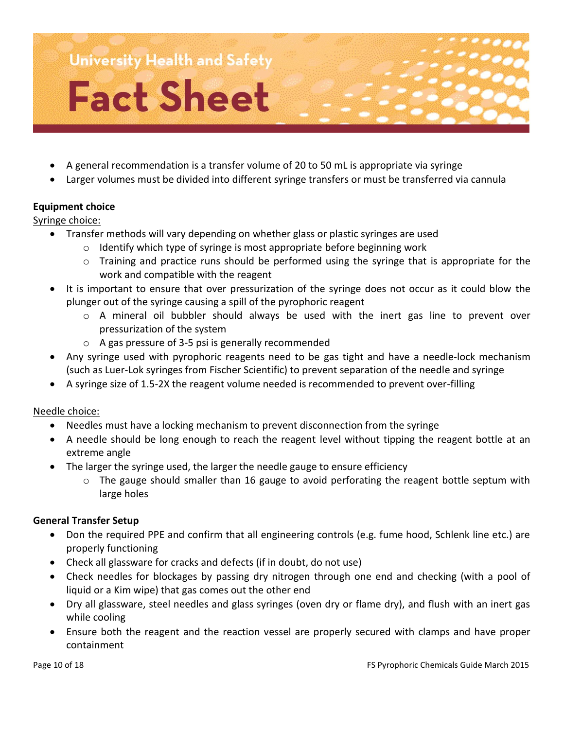

- A general recommendation is a transfer volume of 20 to 50 mL is appropriate via syringe
- Larger volumes must be divided into different syringe transfers or must be transferred via cannula

#### **Equipment choice**

Syringe choice:

- Transfer methods will vary depending on whether glass or plastic syringes are used
	- o Identify which type of syringe is most appropriate before beginning work
	- $\circ$  Training and practice runs should be performed using the syringe that is appropriate for the work and compatible with the reagent
- It is important to ensure that over pressurization of the syringe does not occur as it could blow the plunger out of the syringe causing a spill of the pyrophoric reagent
	- o A mineral oil bubbler should always be used with the inert gas line to prevent over pressurization of the system
	- o A gas pressure of 3-5 psi is generally recommended
- Any syringe used with pyrophoric reagents need to be gas tight and have a needle-lock mechanism (such as Luer-Lok syringes from Fischer Scientific) to prevent separation of the needle and syringe
- A syringe size of 1.5-2X the reagent volume needed is recommended to prevent over-filling

#### Needle choice:

- Needles must have a locking mechanism to prevent disconnection from the syringe
- A needle should be long enough to reach the reagent level without tipping the reagent bottle at an extreme angle
- The larger the syringe used, the larger the needle gauge to ensure efficiency
	- o The gauge should smaller than 16 gauge to avoid perforating the reagent bottle septum with large holes

#### **General Transfer Setup**

- Don the required PPE and confirm that all engineering controls (e.g. fume hood, Schlenk line etc.) are properly functioning
- Check all glassware for cracks and defects (if in doubt, do not use)
- Check needles for blockages by passing dry nitrogen through one end and checking (with a pool of liquid or a Kim wipe) that gas comes out the other end
- Dry all glassware, steel needles and glass syringes (oven dry or flame dry), and flush with an inert gas while cooling
- Ensure both the reagent and the reaction vessel are properly secured with clamps and have proper containment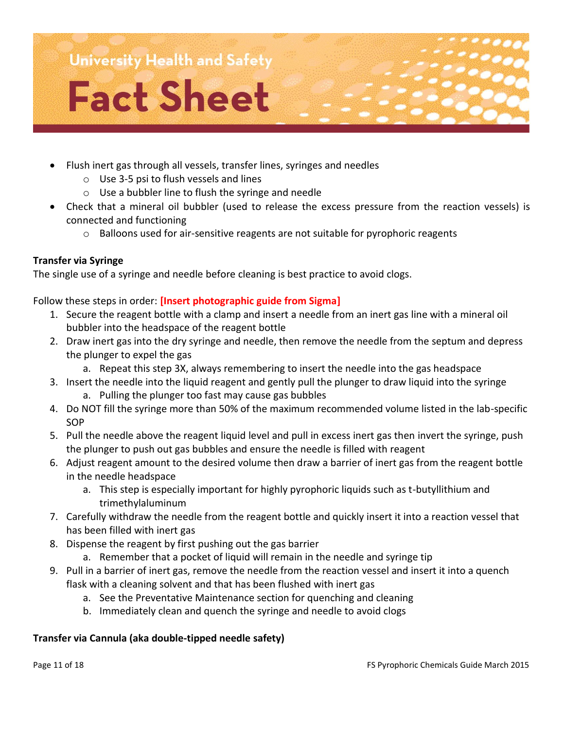

- Flush inert gas through all vessels, transfer lines, syringes and needles
	- o Use 3-5 psi to flush vessels and lines
	- o Use a bubbler line to flush the syringe and needle
- Check that a mineral oil bubbler (used to release the excess pressure from the reaction vessels) is connected and functioning
	- $\circ$  Balloons used for air-sensitive reagents are not suitable for pyrophoric reagents

#### **Transfer via Syringe**

The single use of a syringe and needle before cleaning is best practice to avoid clogs.

Follow these steps in order: **[Insert photographic guide from Sigma]**

- 1. Secure the reagent bottle with a clamp and insert a needle from an inert gas line with a mineral oil bubbler into the headspace of the reagent bottle
- 2. Draw inert gas into the dry syringe and needle, then remove the needle from the septum and depress the plunger to expel the gas
	- a. Repeat this step 3X, always remembering to insert the needle into the gas headspace
- 3. Insert the needle into the liquid reagent and gently pull the plunger to draw liquid into the syringe a. Pulling the plunger too fast may cause gas bubbles
- 4. Do NOT fill the syringe more than 50% of the maximum recommended volume listed in the lab-specific SOP
- 5. Pull the needle above the reagent liquid level and pull in excess inert gas then invert the syringe, push the plunger to push out gas bubbles and ensure the needle is filled with reagent
- 6. Adjust reagent amount to the desired volume then draw a barrier of inert gas from the reagent bottle in the needle headspace
	- a. This step is especially important for highly pyrophoric liquids such as t-butyllithium and trimethylaluminum
- 7. Carefully withdraw the needle from the reagent bottle and quickly insert it into a reaction vessel that has been filled with inert gas
- 8. Dispense the reagent by first pushing out the gas barrier
	- a. Remember that a pocket of liquid will remain in the needle and syringe tip
- 9. Pull in a barrier of inert gas, remove the needle from the reaction vessel and insert it into a quench flask with a cleaning solvent and that has been flushed with inert gas
	- a. See the Preventative Maintenance section for quenching and cleaning
	- b. Immediately clean and quench the syringe and needle to avoid clogs

#### **Transfer via Cannula (aka double-tipped needle safety)**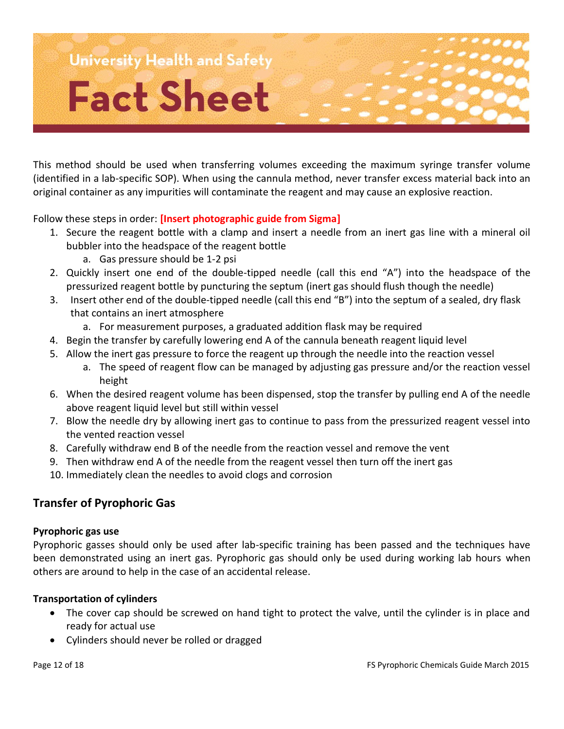This method should be used when transferring volumes exceeding the maximum syringe transfer volume (identified in a lab-specific SOP). When using the cannula method, never transfer excess material back into an original container as any impurities will contaminate the reagent and may cause an explosive reaction.

Follow these steps in order: **[Insert photographic guide from Sigma]**

- 1. Secure the reagent bottle with a clamp and insert a needle from an inert gas line with a mineral oil bubbler into the headspace of the reagent bottle
	- a. Gas pressure should be 1-2 psi
- 2. Quickly insert one end of the double-tipped needle (call this end "A") into the headspace of the pressurized reagent bottle by puncturing the septum (inert gas should flush though the needle)
- 3. Insert other end of the double-tipped needle (call this end "B") into the septum of a sealed, dry flask that contains an inert atmosphere
	- a. For measurement purposes, a graduated addition flask may be required
- 4. Begin the transfer by carefully lowering end A of the cannula beneath reagent liquid level
- 5. Allow the inert gas pressure to force the reagent up through the needle into the reaction vessel
	- a. The speed of reagent flow can be managed by adjusting gas pressure and/or the reaction vessel height
- 6. When the desired reagent volume has been dispensed, stop the transfer by pulling end A of the needle above reagent liquid level but still within vessel
- 7. Blow the needle dry by allowing inert gas to continue to pass from the pressurized reagent vessel into the vented reaction vessel
- 8. Carefully withdraw end B of the needle from the reaction vessel and remove the vent
- 9. Then withdraw end A of the needle from the reagent vessel then turn off the inert gas
- 10. Immediately clean the needles to avoid clogs and corrosion

#### **Transfer of Pyrophoric Gas**

#### **Pyrophoric gas use**

Pyrophoric gasses should only be used after lab-specific training has been passed and the techniques have been demonstrated using an inert gas. Pyrophoric gas should only be used during working lab hours when others are around to help in the case of an accidental release.

#### **Transportation of cylinders**

- The cover cap should be screwed on hand tight to protect the valve, until the cylinder is in place and ready for actual use
- Cylinders should never be rolled or dragged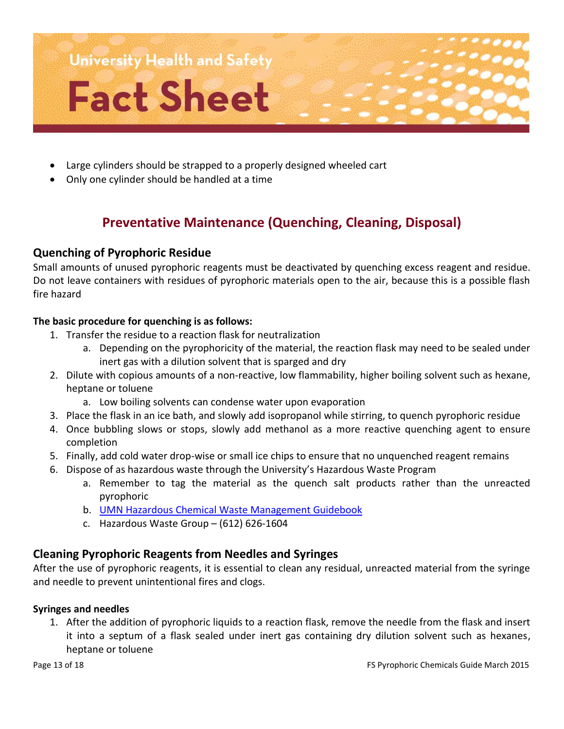

- Large cylinders should be strapped to a properly designed wheeled cart
- Only one cylinder should be handled at a time

# **Preventative Maintenance (Quenching, Cleaning, Disposal)**

#### **Quenching of Pyrophoric Residue**

Small amounts of unused pyrophoric reagents must be deactivated by quenching excess reagent and residue. Do not leave containers with residues of pyrophoric materials open to the air, because this is a possible flash fire hazard

#### **The basic procedure for quenching is as follows:**

- 1. Transfer the residue to a reaction flask for neutralization
	- a. Depending on the pyrophoricity of the material, the reaction flask may need to be sealed under inert gas with a dilution solvent that is sparged and dry
- 2. Dilute with copious amounts of a non-reactive, low flammability, higher boiling solvent such as hexane, heptane or toluene
	- a. Low boiling solvents can condense water upon evaporation
- 3. Place the flask in an ice bath, and slowly add isopropanol while stirring, to quench pyrophoric residue
- 4. Once bubbling slows or stops, slowly add methanol as a more reactive quenching agent to ensure completion
- 5. Finally, add cold water drop-wise or small ice chips to ensure that no unquenched reagent remains
- 6. Dispose of as hazardous waste through the University's Hazardous Waste Program
	- a. Remember to tag the material as the quench salt products rather than the unreacted pyrophoric
	- b. [UMN Hazardous Chemical Waste Management Guidebook](http://www.dehs.umn.edu/hazwaste_chemwaste_umn_cwmgbk.htm)
	- c. Hazardous Waste Group (612) 626-1604

#### **Cleaning Pyrophoric Reagents from Needles and Syringes**

After the use of pyrophoric reagents, it is essential to clean any residual, unreacted material from the syringe and needle to prevent unintentional fires and clogs.

#### **Syringes and needles**

1. After the addition of pyrophoric liquids to a reaction flask, remove the needle from the flask and insert it into a septum of a flask sealed under inert gas containing dry dilution solvent such as hexanes, heptane or toluene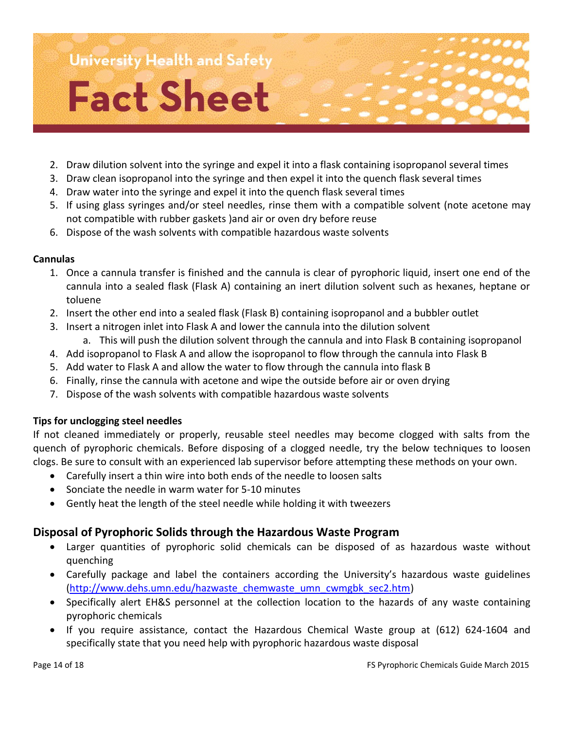- 2. Draw dilution solvent into the syringe and expel it into a flask containing isopropanol several times
- 3. Draw clean isopropanol into the syringe and then expel it into the quench flask several times
- 4. Draw water into the syringe and expel it into the quench flask several times
- 5. If using glass syringes and/or steel needles, rinse them with a compatible solvent (note acetone may not compatible with rubber gaskets )and air or oven dry before reuse
- 6. Dispose of the wash solvents with compatible hazardous waste solvents

#### **Cannulas**

- 1. Once a cannula transfer is finished and the cannula is clear of pyrophoric liquid, insert one end of the cannula into a sealed flask (Flask A) containing an inert dilution solvent such as hexanes, heptane or toluene
- 2. Insert the other end into a sealed flask (Flask B) containing isopropanol and a bubbler outlet
- 3. Insert a nitrogen inlet into Flask A and lower the cannula into the dilution solvent
	- a. This will push the dilution solvent through the cannula and into Flask B containing isopropanol
- 4. Add isopropanol to Flask A and allow the isopropanol to flow through the cannula into Flask B
- 5. Add water to Flask A and allow the water to flow through the cannula into flask B
- 6. Finally, rinse the cannula with acetone and wipe the outside before air or oven drying
- 7. Dispose of the wash solvents with compatible hazardous waste solvents

#### **Tips for unclogging steel needles**

If not cleaned immediately or properly, reusable steel needles may become clogged with salts from the quench of pyrophoric chemicals. Before disposing of a clogged needle, try the below techniques to loosen clogs. Be sure to consult with an experienced lab supervisor before attempting these methods on your own.

- Carefully insert a thin wire into both ends of the needle to loosen salts
- Sonciate the needle in warm water for 5-10 minutes
- Gently heat the length of the steel needle while holding it with tweezers

#### **Disposal of Pyrophoric Solids through the Hazardous Waste Program**

- Larger quantities of pyrophoric solid chemicals can be disposed of as hazardous waste without quenching
- Carefully package and label the containers according the University's hazardous waste guidelines [\(http://www.dehs.umn.edu/hazwaste\\_chemwaste\\_umn\\_cwmgbk\\_sec2.htm\)](http://www.dehs.umn.edu/hazwaste_chemwaste_umn_cwmgbk_sec2.htm)
- Specifically alert EH&S personnel at the collection location to the hazards of any waste containing pyrophoric chemicals
- If you require assistance, contact the Hazardous Chemical Waste group at (612) 624-1604 and specifically state that you need help with pyrophoric hazardous waste disposal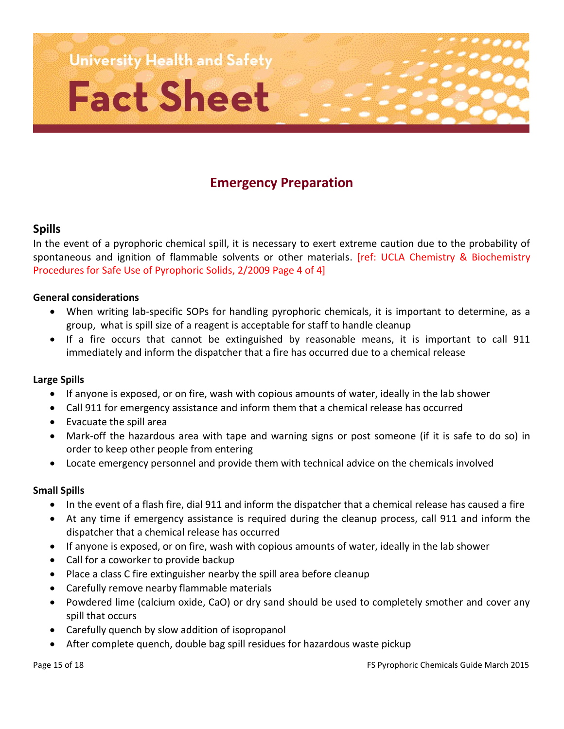

# **Emergency Preparation**

#### **Spills**

In the event of a pyrophoric chemical spill, it is necessary to exert extreme caution due to the probability of spontaneous and ignition of flammable solvents or other materials. [ref: UCLA Chemistry & Biochemistry Procedures for Safe Use of Pyrophoric Solids, 2/2009 Page 4 of 4]

#### **General considerations**

- When writing lab-specific SOPs for handling pyrophoric chemicals, it is important to determine, as a group, what is spill size of a reagent is acceptable for staff to handle cleanup
- If a fire occurs that cannot be extinguished by reasonable means, it is important to call 911 immediately and inform the dispatcher that a fire has occurred due to a chemical release

#### **Large Spills**

- If anyone is exposed, or on fire, wash with copious amounts of water, ideally in the lab shower
- Call 911 for emergency assistance and inform them that a chemical release has occurred
- Evacuate the spill area
- Mark-off the hazardous area with tape and warning signs or post someone (if it is safe to do so) in order to keep other people from entering
- Locate emergency personnel and provide them with technical advice on the chemicals involved

#### **Small Spills**

- In the event of a flash fire, dial 911 and inform the dispatcher that a chemical release has caused a fire
- At any time if emergency assistance is required during the cleanup process, call 911 and inform the dispatcher that a chemical release has occurred
- If anyone is exposed, or on fire, wash with copious amounts of water, ideally in the lab shower
- Call for a coworker to provide backup
- Place a class C fire extinguisher nearby the spill area before cleanup
- Carefully remove nearby flammable materials
- Powdered lime (calcium oxide, CaO) or dry sand should be used to completely smother and cover any spill that occurs
- Carefully quench by slow addition of isopropanol
- After complete quench, double bag spill residues for hazardous waste pickup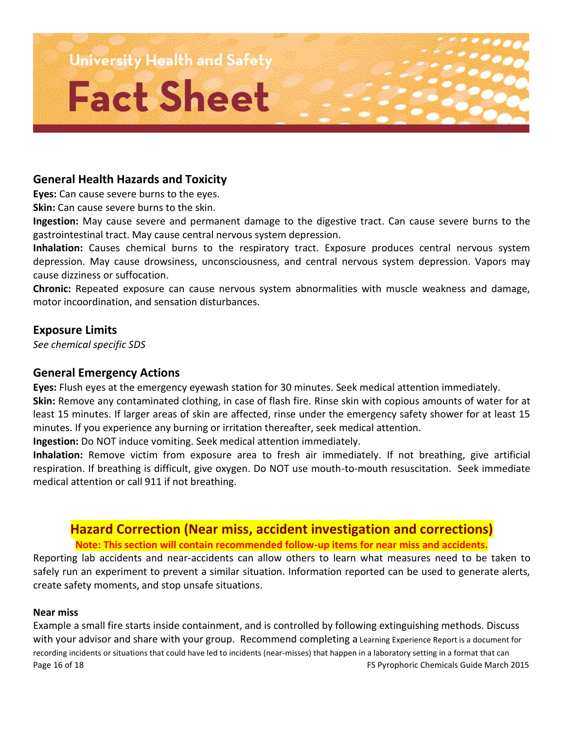

#### **General Health Hazards and Toxicity**

**Eyes:** Can cause severe burns to the eyes.

**Skin:** Can cause severe burns to the skin.

**Ingestion:** May cause severe and permanent damage to the digestive tract. Can cause severe burns to the gastrointestinal tract. May cause central nervous system depression.

**Inhalation:** Causes chemical burns to the respiratory tract. Exposure produces central nervous system depression. May cause drowsiness, unconsciousness, and central nervous system depression. Vapors may cause dizziness or suffocation.

**Chronic:** Repeated exposure can cause nervous system abnormalities with muscle weakness and damage, motor incoordination, and sensation disturbances.

#### **Exposure Limits**

*See chemical specific SDS*

#### **General Emergency Actions**

**Eyes:** Flush eyes at the emergency eyewash station for 30 minutes. Seek medical attention immediately.

**Skin:** Remove any contaminated clothing, in case of flash fire. Rinse skin with copious amounts of water for at least 15 minutes. If larger areas of skin are affected, rinse under the emergency safety shower for at least 15 minutes. If you experience any burning or irritation thereafter, seek medical attention.

**Ingestion:** Do NOT induce vomiting. Seek medical attention immediately.

**Inhalation:** Remove victim from exposure area to fresh air immediately. If not breathing, give artificial respiration. If breathing is difficult, give oxygen. Do NOT use mouth-to-mouth resuscitation. Seek immediate medical attention or call 911 if not breathing.

# **Hazard Correction (Near miss, accident investigation and corrections) Note: This section will contain recommended follow-up items for near miss and accidents.**

Reporting lab accidents and near-accidents can allow others to learn what measures need to be taken to safely run an experiment to prevent a similar situation. Information reported can be used to generate alerts, create safety moments, and stop unsafe situations.

#### **Near miss**

Page 16 of 18 FS Pyrophoric Chemicals Guide March 2015 Example a small fire starts inside containment, and is controlled by following extinguishing methods. Discuss with your advisor and share with your group. Recommend completing a Learning Experience Report is a document for recording incidents or situations that could have led to incidents (near-misses) that happen in a laboratory setting in a format that can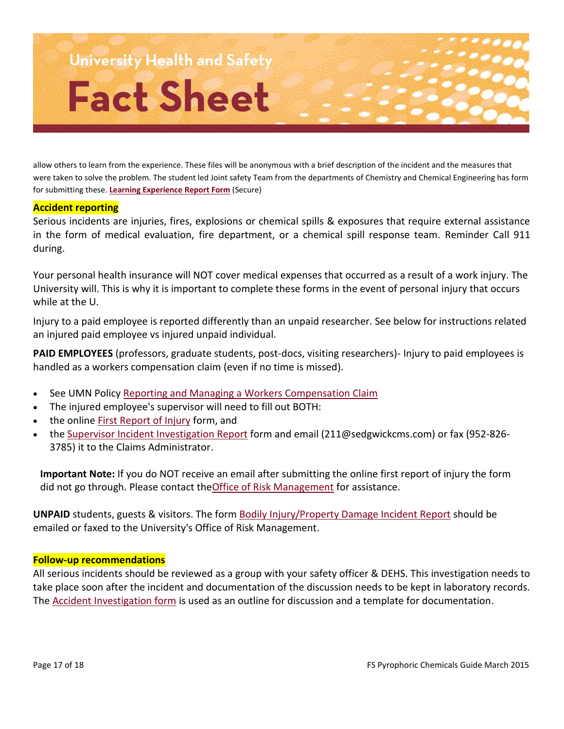

allow others to learn from the experience. These files will be anonymous with a brief description of the incident and the measures that were taken to solve the problem. The student led Joint safety Team from the departments of Chemistry and Chemical Engineering has form for submitting these. **[Learning Experience Report Form](https://docs.google.com/a/umn.edu/forms/d/1KZsHiswmhEPqBymuZPVw9_W795BGfrdt2nQA6nQ3l9Q/viewform?usp=send_form)** (Secure)

#### **Accident reporting**

Serious incidents are injuries, fires, explosions or chemical spills & exposures that require external assistance in the form of medical evaluation, fire department, or a chemical spill response team. Reminder Call 911 during.

Your personal health insurance will NOT cover medical expenses that occurred as a result of a work injury. The University will. This is why it is important to complete these forms in the event of personal injury that occurs while at the U.

Injury to a paid employee is reported differently than an unpaid researcher. See below for instructions related an injured paid employee vs injured unpaid individual.

**PAID EMPLOYEES** (professors, graduate students, post-docs, visiting researchers)- Injury to paid employees is handled as a workers compensation claim (even if no time is missed).

- See UMN Policy [Reporting and Managing a Workers Compensation Claim](http://www.policy.umn.edu/Policies/hr/Benefits/WORKERSCOMP_PROC01.html)
- The injured employee's supervisor will need to fill out BOTH:
- the online [First Report of Injury](https://webapps-prd.oit.umn.edu/froi/) form, and
- the [Supervisor Incident Investigation Report](http://www.policy.umn.edu/prod/groups/president/@pub/@forms/@hr/documents/form/supincidentinv.doc) form and email (211@sedgwickcms.com) or fax (952-826- 3785) it to the Claims Administrator.

**Important Note:** If you do NOT receive an email after submitting the online first report of injury the form did not go through. Please contact th[eOffice of Risk Management](http://www.finsys.umn.edu/riskmgmt/riskmgmtstaff.html) for assistance.

UNPAID students, guests & visitors. The form **[Bodily Injury/Property Damage Incident Report](http://policy.umn.edu/Forms/upo/um1707p.pdf)** should be emailed or faxed to the University's Office of Risk Management.

#### **Follow-up recommendations**

All serious incidents should be reviewed as a group with your safety officer & DEHS. This investigation needs to take place soon after the incident and documentation of the discussion needs to be kept in laboratory records. The [Accident Investigation form](http://www.dehs.umn.edu/Docs/AccInv.doc) is used as an outline for discussion and a template for documentation.